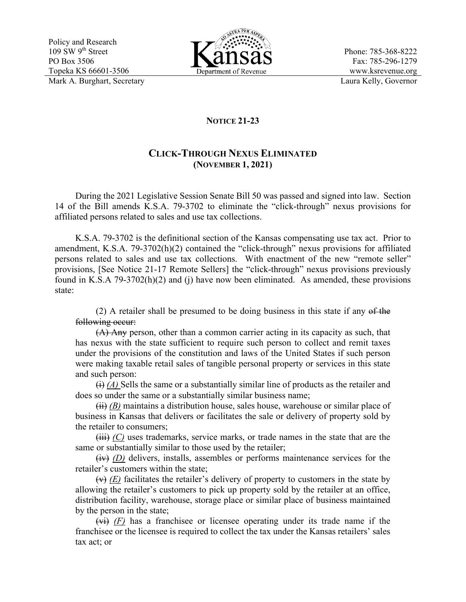Policy and Research  $109$  SW  $9<sup>th</sup>$  Street PO Box 3506 Topeka KS 66601-3506 Mark A. Burghart, Secretary Laura Kelly, Governor



Phone: 785-368-8222 Fax: 785-296-1279 www.ksrevenue.org

## **NOTICE 21-23**

## **CLICK-THROUGH NEXUS ELIMINATED (NOVEMBER 1, 2021)**

During the 2021 Legislative Session Senate Bill 50 was passed and signed into law. Section 14 of the Bill amends K.S.A. 79-3702 to eliminate the "click-through" nexus provisions for affiliated persons related to sales and use tax collections.

K.S.A. 79-3702 is the definitional section of the Kansas compensating use tax act. Prior to amendment, K.S.A. 79-3702(h)(2) contained the "click-through" nexus provisions for affiliated persons related to sales and use tax collections. With enactment of the new "remote seller" provisions, [See Notice 21-17 Remote Sellers] the "click-through" nexus provisions previously found in K.S.A 79-3702(h)(2) and (j) have now been eliminated. As amended, these provisions state:

(2) A retailer shall be presumed to be doing business in this state if any  $\theta$  the following occur:

(A) Any person, other than a common carrier acting in its capacity as such, that has nexus with the state sufficient to require such person to collect and remit taxes under the provisions of the constitution and laws of the United States if such person were making taxable retail sales of tangible personal property or services in this state and such person:

 $\leftrightarrow$  *(A)* Sells the same or a substantially similar line of products as the retailer and does so under the same or a substantially similar business name;

 $(ii)$  *(B)* maintains a distribution house, sales house, warehouse or similar place of business in Kansas that delivers or facilitates the sale or delivery of property sold by the retailer to consumers;

(iii) *(C)* uses trademarks, service marks, or trade names in the state that are the same or substantially similar to those used by the retailer;

(iv) *(D)* delivers, installs, assembles or performs maintenance services for the retailer's customers within the state;

 $(x)$  *(E)* facilitates the retailer's delivery of property to customers in the state by allowing the retailer's customers to pick up property sold by the retailer at an office, distribution facility, warehouse, storage place or similar place of business maintained by the person in the state;

(vi) *(F)* has a franchisee or licensee operating under its trade name if the franchisee or the licensee is required to collect the tax under the Kansas retailers' sales tax act; or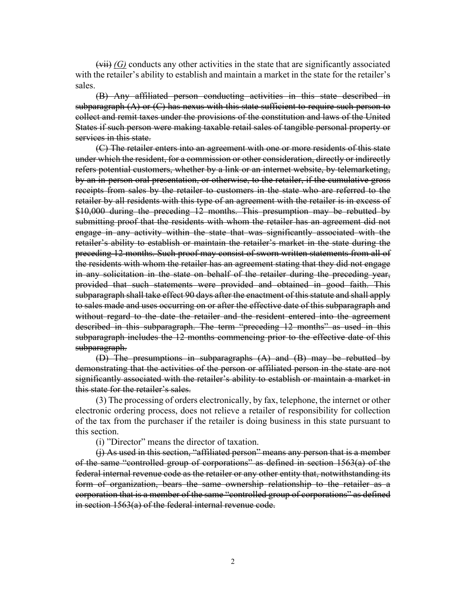$(vii)$  *(G)* conducts any other activities in the state that are significantly associated with the retailer's ability to establish and maintain a market in the state for the retailer's sales.

(B) Any affiliated person conducting activities in this state described in subparagraph  $(A)$  or  $(C)$  has nexus with this state sufficient to require such person to collect and remit taxes under the provisions of the constitution and laws of the United States if such person were making taxable retail sales of tangible personal property or services in this state.

(C) The retailer enters into an agreement with one or more residents of this state under which the resident, for a commission or other consideration, directly or indirectly refers potential customers, whether by a link or an internet website, by telemarketing, by an in-person oral presentation, or otherwise, to the retailer, if the cumulative gross receipts from sales by the retailer to customers in the state who are referred to the retailer by all residents with this type of an agreement with the retailer is in excess of \$10,000 during the preceding 12 months. This presumption may be rebutted by submitting proof that the residents with whom the retailer has an agreement did not engage in any activity within the state that was significantly associated with the retailer's ability to establish or maintain the retailer's market in the state during the preceding 12 months. Such proof may consist of sworn written statements from all of the residents with whom the retailer has an agreement stating that they did not engage in any solicitation in the state on behalf of the retailer during the preceding year, provided that such statements were provided and obtained in good faith. This subparagraph shall take effect 90 days after the enactment of this statute and shall apply to sales made and uses occurring on or after the effective date of this subparagraph and without regard to the date the retailer and the resident entered into the agreement described in this subparagraph. The term "preceding 12 months" as used in this subparagraph includes the 12 months commencing prior to the effective date of this subparagraph.

(D) The presumptions in subparagraphs (A) and (B) may be rebutted by demonstrating that the activities of the person or affiliated person in the state are not significantly associated with the retailer's ability to establish or maintain a market in this state for the retailer's sales.

(3) The processing of orders electronically, by fax, telephone, the internet or other electronic ordering process, does not relieve a retailer of responsibility for collection of the tax from the purchaser if the retailer is doing business in this state pursuant to this section.

(i) "Director" means the director of taxation.

(j) As used in this section, "affiliated person" means any person that is a member of the same "controlled group of corporations" as defined in section 1563(a) of the federal internal revenue code as the retailer or any other entity that, notwithstanding its form of organization, bears the same ownership relationship to the retailer as a corporation that is a member of the same "controlled group of corporations" as defined in section 1563(a) of the federal internal revenue code.